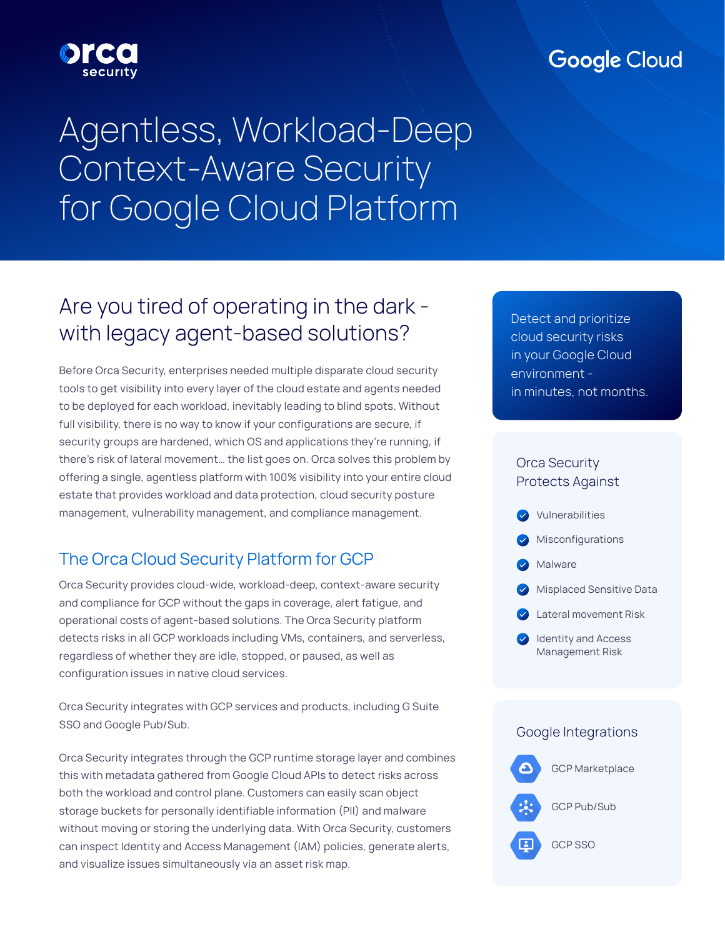# **Google Cloud**

# Agentless, Workload-Deep Context-Aware Security for Google Cloud Platform

# Are you tired of operating in the dark with legacy agent-based solutions?

Before Orca Security, enterprises needed multiple disparate cloud security tools to get visibility into every layer of the cloud estate and agents needed to be deployed for each workload, inevitably leading to blind spots. Without full visibility, there is no way to know if your configurations are secure, if security groups are hardened, which OS and applications they're running, if there's risk of lateral movement… the list goes on. Orca solves this problem by offering a single, agentless platform with 100% visibility into your entire cloud estate that provides workload and data protection, cloud security posture management, vulnerability management, and compliance management.

### The Orca Cloud Security Platform for GCP

Orca Security provides cloud-wide, workload-deep, context-aware security and compliance for GCP without the gaps in coverage, alert fatigue, and operational costs of agent-based solutions. The Orca Security platform detects risks in all GCP workloads including VMs, containers, and serverless, regardless of whether they are idle, stopped, or paused, as well as configuration issues in native cloud services.

Orca Security integrates with GCP services and products, including G Suite SSO and Google Pub/Sub.

Orca Security integrates through the GCP runtime storage layer and combines this with metadata gathered from Google Cloud APIs to detect risks across both the workload and control plane. Customers can easily scan object storage buckets for personally identifiable information (PII) and malware without moving or storing the underlying data. With Orca Security, customers can inspect Identity and Access Management (IAM) policies, generate alerts, and visualize issues simultaneously via an asset risk map.

cloud security risks in your Google Cloud environment - **Environment** - Environment - Environment - Environment - Environment - Environment - Environment - E in minutes, not months. in minutes, not months. Detect and prioritize

#### Orca Security Protects Against



## Google Integrations